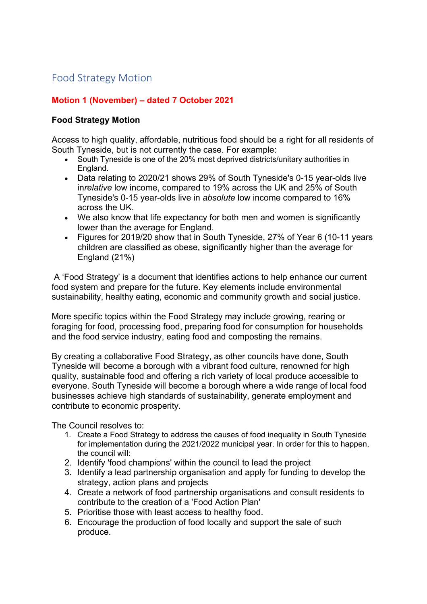## Food Strategy Motion

## **Motion 1 (November) – dated 7 October 2021**

## **Food Strategy Motion**

Access to high quality, affordable, nutritious food should be a right for all residents of South Tyneside, but is not currently the case. For example:

- South Tyneside is one of the 20% most deprived districts/unitary authorities in England.
- Data relating to 2020/21 shows 29% of South Tyneside's 0-15 year-olds live in*relative* low income, compared to 19% across the UK and 25% of South Tyneside's 0-15 year-olds live in *absolute* low income compared to 16% across the UK.
- We also know that life expectancy for both men and women is significantly lower than the average for England.
- Figures for 2019/20 show that in South Tyneside, 27% of Year 6 (10-11 years children are classified as obese, significantly higher than the average for England (21%)

A 'Food Strategy' is a document that identifies actions to help enhance our current food system and prepare for the future. Key elements include environmental sustainability, healthy eating, economic and community growth and social justice.

More specific topics within the Food Strategy may include growing, rearing or foraging for food, processing food, preparing food for consumption for households and the food service industry, eating food and composting the remains.

By creating a collaborative Food Strategy, as other councils have done, South Tyneside will become a borough with a vibrant food culture, renowned for high quality, sustainable food and offering a rich variety of local produce accessible to everyone. South Tyneside will become a borough where a wide range of local food businesses achieve high standards of sustainability, generate employment and contribute to economic prosperity.

The Council resolves to:

- 1. Create a Food Strategy to address the causes of food inequality in South Tyneside for implementation during the 2021/2022 municipal year. In order for this to happen, the council will:
- 2. Identify 'food champions' within the council to lead the project
- 3. Identify a lead partnership organisation and apply for funding to develop the strategy, action plans and projects
- 4. Create a network of food partnership organisations and consult residents to contribute to the creation of a 'Food Action Plan'
- 5. Prioritise those with least access to healthy food.
- 6. Encourage the production of food locally and support the sale of such produce.